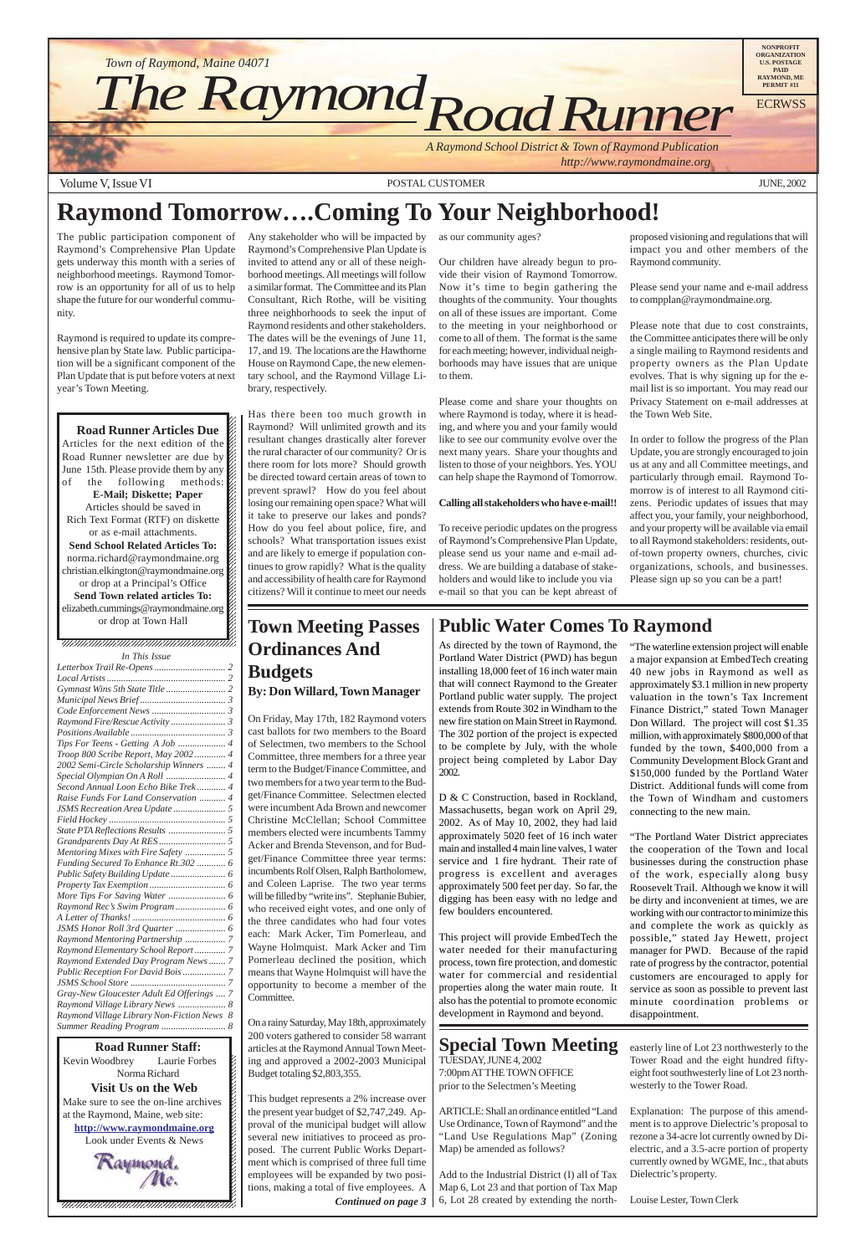Volume V, Issue VI POSTAL CUSTOMER JUNE, 2002

**1234567801234567890123456789121234567890121234567890123456789012345678901234567890123456789012345678** 12345678901234567890123456789012123456789012345678 Kevin Woodbrey Laurie Forbes  $\cancel{\epsilon}$ Norma Richard **1234**  $\blacksquare$ **Visit Us on the Web** 12345678901234567890123456789012123456789012345678 Make sure to see the on-line archives  $\mathcal{L}$ at the Raymond, Maine, web site: **http://www.raymondmaine.org** 12345678901234567890123456789012123456789012345678 Look under Events & News  $\mathcal{L}$ 12345678901234567890123456789012123456789012345678



12345678901234567890123456789012123456789012345678 12345678901234567890123456789012345678901234567890123456789012345678901234567890123456789012345678901234567890  $1235678901234567890123456789012345678901234567890123456789012345678901234567890123456789012345678901234567890123456789012345678901234567890123456789012345678901234567890123456789012345678901234567890123456789012345678901$ 

 $1235678901234567890123456789012345678901234567890123456789012345678901234567890123456789012345678901234567890123456789012345678901234567890123456789012345678901234567890123456789012345678901234567890123456789012345678901$ **Road Runner Articles Due**  $1235678901234567890123456789012345678901234567890123456789012345678901234567890123456789012345678901234567890123456789012345678901234567890123456789012345678901234567890123456789012345678901234567890123456789012345678901$ Articles for the next edition of the  $\%$ Road Runner newsletter are due by  $\%$ June 15th. Please provide them by any  $\hat{z}$ of the following methods: 12345678901234567890123456789012123456789012345678 **E-Mail; Diskette; Paper** Articles should be saved in  $1235678901234567890123456789012345678901234567890123456789012345678901234567890123456789012345678901234567890123456789012345678901234567890123456789012345678901234567890123456789012345678901234567890123456789012345678901$ Rich Text Format (RTF) on diskette  $\%$  $1235678901234567890123456789012345678901234567890123456789012345678901234567890123456789012345678901234567890123456789012345678901234567890123456789012345678901234567890123456789012345678901234567890123456789012345678901$ or as e-mail attachments.  $\%$  $1235678901234567890123456789012345678901234567890123456789012345678901234567890123456789012345678901234567890123456789012345678901234567890123456789012345678901234567890123456789012345678901234567890123456789012345678901$ **Send School Related Articles To:**  $1235678901234567890123456789012345678901234567890123456789012345678901234567890123456789012345678901234567890123456789012345678901234567890123456789012345678901234567890123456789012345678901234567890123456789012345678901$ norma.richard@raymondmaine.org christian.elkington@raymondmaine.org 12345678901234567890123456789012123456789012345678 or drop at a Principal's Office  $\mathscr{L}$ Send Town related articles To: elizabeth.cummings@raymondmaine.org  $1235678901234567890123456789012345678901234567890123456789012345678901234567890123456789012345678901234567890123456789012345678901234567890123456789012345678901234567890123456789012345678901234567890123456789012345678901$ or drop at Town Hall



D & C Construction, based in Rockland, Massachusetts, began work on April 29, 2002. As of May 10, 2002, they had laid approximately 5020 feet of 16 inch water main and installed 4 main line valves, 1 water service and 1 fire hydrant. Their rate of progress is excellent and averages approximately 500 feet per day. So far, the digging has been easy with no ledge and few boulders encountered.

The public participation component of Raymond's Comprehensive Plan Update gets underway this month with a series of neighborhood meetings. Raymond Tomorrow is an opportunity for all of us to help shape the future for our wonderful community.

Raymond is required to update its comprehensive plan by State law. Public participation will be a significant component of the Plan Update that is put before voters at next year's Town Meeting.

Any stakeholder who will be impacted by Raymond's Comprehensive Plan Update is invited to attend any or all of these neighborhood meetings. All meetings will follow a similar format. The Committee and its Plan Consultant, Rich Rothe, will be visiting three neighborhoods to seek the input of Raymond residents and other stakeholders. The dates will be the evenings of June 11, 17, and 19. The locations are the Hawthorne House on Raymond Cape, the new elementary school, and the Raymond Village Library, respectively.

Has there been too much growth in Raymond? Will unlimited growth and its resultant changes drastically alter forever the rural character of our community? Or is there room for lots more? Should growth be directed toward certain areas of town to prevent sprawl? How do you feel about losing our remaining open space? What will it take to preserve our lakes and ponds? How do you feel about police, fire, and schools? What transportation issues exist and are likely to emerge if population continues to grow rapidly? What is the quality and accessibility of health care for Raymond citizens? Will it continue to meet our needs

as our community ages?

Our children have already begun to provide their vision of Raymond Tomorrow. Now it's time to begin gathering the thoughts of the community. Your thoughts on all of these issues are important. Come to the meeting in your neighborhood or come to all of them. The format is the same for each meeting; however, individual neighborhoods may have issues that are unique to them.

Please come and share your thoughts on where Raymond is today, where it is heading, and where you and your family would like to see our community evolve over the next many years. Share your thoughts and listen to those of your neighbors. Yes. YOU can help shape the Raymond of Tomorrow.

#### **Calling all stakeholders who have e-mail!!**

To receive periodic updates on the progress of Raymond's Comprehensive Plan Update, please send us your name and e-mail address. We are building a database of stakeholders and would like to include you via e-mail so that you can be kept abreast of

proposed visioning and regulations that will impact you and other members of the Raymond community.

Please send your name and e-mail address to compplan@raymondmaine.org.

Please note that due to cost constraints, the Committee anticipates there will be only a single mailing to Raymond residents and property owners as the Plan Update evolves. That is why signing up for the email list is so important. You may read our Privacy Statement on e-mail addresses at the Town Web Site.

### **Special Town Meeting** TUESDAY, JUNE 4, 2002 7:00pm AT THE TOWN OFFICE prior to the Selectmen's Meeting

In order to follow the progress of the Plan Update, you are strongly encouraged to join us at any and all Committee meetings, and particularly through email. Raymond Tomorrow is of interest to all Raymond citizens. Periodic updates of issues that may affect you, your family, your neighborhood, and your property will be available via email to all Raymond stakeholders: residents, outof-town property owners, churches, civic organizations, schools, and businesses. Please sign up so you can be a part!

# **Town Meeting Passes Ordinances And Budgets**

### **By: Don Willard, Town Manager**

12345678901234567890123456789012123456789012345678 12345678901234567890123456789012123456789012345678 *In This Issue*

 $1235678901234587890123456789012345678901234567890123456789012345678901234567890123456789012345678901234567890123456789012345678901234567890123456789012345678901234567890123456789012345678901234567890123456789012345678901$  $1235678901234567890123456789012345678901234567890123456789012345678901234567890123456789012345678901234567890123456789012345678901234567890123456789012345678901234567890123456789012345678901234567890123456789012345678901$  $1235678901234587890123456789012345678901234567890123456789012345678901234567890123456789012345678901234567890123456789012345678901234567890123456789012345678901234567890123456789012345678901234567890123456789012345678901$ 

> On Friday, May 17th, 182 Raymond voters cast ballots for two members to the Board of Selectmen, two members to the School Committee, three members for a three year term to the Budget/Finance Committee, and two members for a two year term to the Budget/Finance Committee. Selectmen elected were incumbent Ada Brown and newcomer Christine McClellan; School Committee members elected were incumbents Tammy Acker and Brenda Stevenson, and for Budget/Finance Committee three year terms: incumbents Rolf Olsen, Ralph Bartholomew, and Coleen Laprise. The two year terms will be filled by "write ins". Stephanie Bubier, who received eight votes, and one only of the three candidates who had four votes each: Mark Acker, Tim Pomerleau, and Wayne Holmquist. Mark Acker and Tim Pomerleau declined the position, which means that Wayne Holmquist will have the opportunity to become a member of the Committee.

> On a rainy Saturday, May 18th, approximately 200 voters gathered to consider 58 warrant articles at the Raymond Annual Town Meeting and approved a 2002-2003 Municipal Budget totaling \$2,803,355.

### **Public Water Comes To Raymond**

As directed by the town of Raymond, the Portland Water District (PWD) has begun installing 18,000 feet of 16 inch water main that will connect Raymond to the Greater Portland public water supply. The project extends from Route 302 in Windham to the new fire station on Main Street in Raymond. The 302 portion of the project is expected to be complete by July, with the whole project being completed by Labor Day 2002.

This project will provide EmbedTech the water needed for their manufacturing process, town fire protection, and domestic water for commercial and residential properties along the water main route. It also has the potential to promote economic development in Raymond and beyond.

This budget represents a 2% increase over the present year budget of \$2,747,249. Approval of the municipal budget will allow several new initiatives to proceed as proposed. The current Public Works Department which is comprised of three full time employees will be expanded by two positions, making a total of five employees. A *Continued on page 3*

ARTICLE: Shall an ordinance entitled "Land Use Ordinance, Town of Raymond" and the "Land Use Regulations Map" (Zoning Map) be amended as follows?

Add to the Industrial District (I) all of Tax Map 6, Lot 23 and that portion of Tax Map 6, Lot 28 created by extending the north-

# **Raymond Tomorrow….Coming To Your Neighborhood!**

"The waterline extension project will enable a major expansion at EmbedTech creating 40 new jobs in Raymond as well as approximately \$3.1 million in new property valuation in the town's Tax Increment Finance District," stated Town Manager Don Willard. The project will cost \$1.35 million, with approximately \$800,000 of that funded by the town, \$400,000 from a Community Development Block Grant and \$150,000 funded by the Portland Water District. Additional funds will come from the Town of Windham and customers connecting to the new main.

"The Portland Water District appreciates the cooperation of the Town and local businesses during the construction phase of the work, especially along busy Roosevelt Trail. Although we know it will be dirty and inconvenient at times, we are working with our contractor to minimize this and complete the work as quickly as possible," stated Jay Hewett, project manager for PWD. Because of the rapid rate of progress by the contractor, potential customers are encouraged to apply for service as soon as possible to prevent last minute coordination problems or disappointment.

easterly line of Lot 23 northwesterly to the Tower Road and the eight hundred fiftyeight foot southwesterly line of Lot 23 northwesterly to the Tower Road.

Explanation: The purpose of this amendment is to approve Dielectric's proposal to rezone a 34-acre lot currently owned by Dielectric, and a 3.5-acre portion of property currently owned by WGME, Inc., that abuts Dielectric's property.

Louise Lester, Town Clerk

| т тыз тэме                              |  |
|-----------------------------------------|--|
|                                         |  |
|                                         |  |
|                                         |  |
|                                         |  |
|                                         |  |
|                                         |  |
|                                         |  |
|                                         |  |
| Troop 800 Scribe Report, May 2002 4     |  |
| 2002 Semi-Circle Scholarship Winners  4 |  |
|                                         |  |
| Second Annual Loon Echo Bike Trek 4     |  |
| Raise Funds For Land Conservation  4    |  |
|                                         |  |
|                                         |  |
|                                         |  |
|                                         |  |
| Mentoring Mixes with Fire Safety  5     |  |
| Funding Secured To Enhance Rt.302  6    |  |
|                                         |  |
|                                         |  |
|                                         |  |
|                                         |  |
|                                         |  |
|                                         |  |
| Raymond Mentoring Partnership  7        |  |
|                                         |  |

*[Raymond Elementary School Report ............. 7](#page-6-0) [Raymond Extended Day Program News ....... 7](#page-6-0) [Public Reception For David Bois .................. 7](#page-6-0) [JSMS School Store ........................................ 7](#page-6-0) [Gray-New Gloucester Adult Ed Offerings .... 7](#page-6-0) [Raymond Village Library News .................... 8](#page-7-0) [Raymond Village Library Non-Fiction News 8](#page-7-0) [Summer Reading Program ........................... 8](#page-7-0)*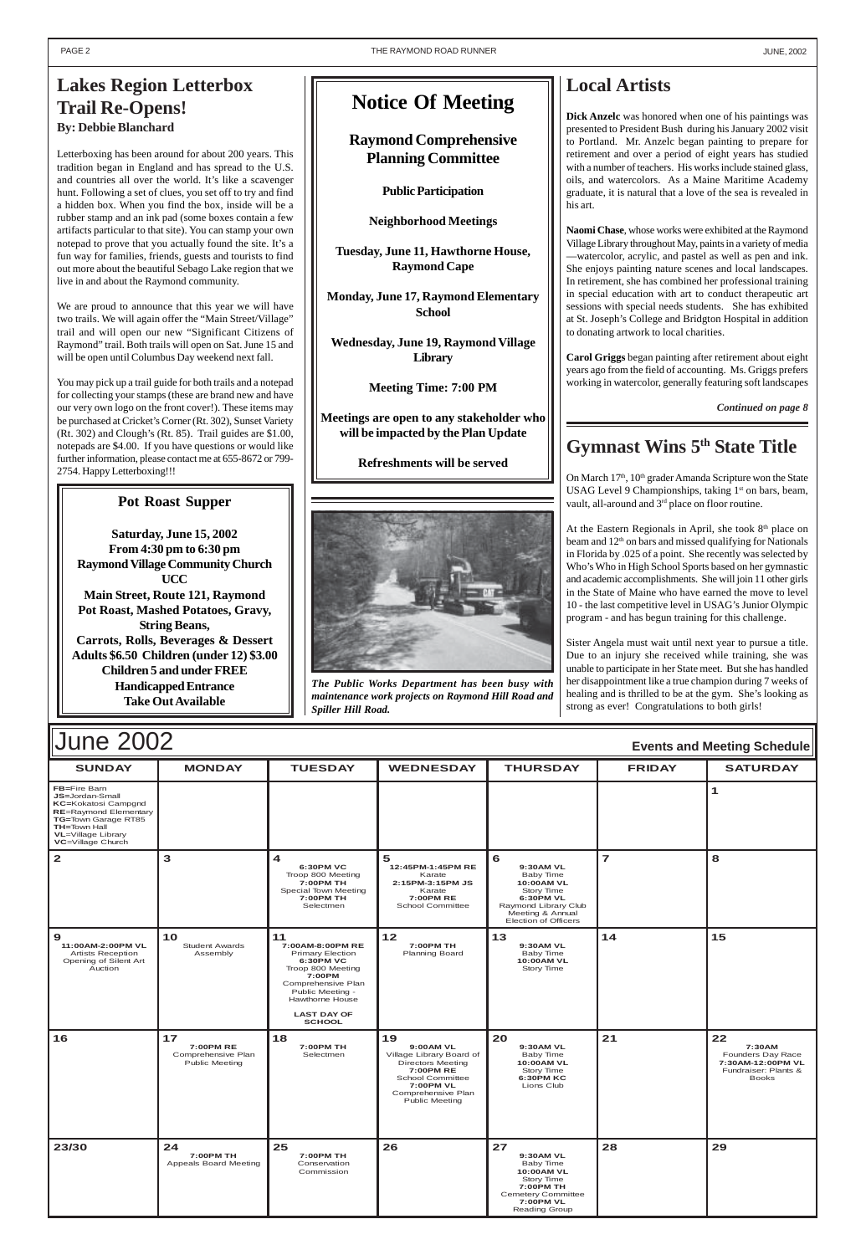| Evento and modeling concadio                                                                                                                                                    |                                                                |                                                                                                                                                                                                          |                                                                                                                                                                             |                                                                                                                                                 |                         |                                                                                                |  |
|---------------------------------------------------------------------------------------------------------------------------------------------------------------------------------|----------------------------------------------------------------|----------------------------------------------------------------------------------------------------------------------------------------------------------------------------------------------------------|-----------------------------------------------------------------------------------------------------------------------------------------------------------------------------|-------------------------------------------------------------------------------------------------------------------------------------------------|-------------------------|------------------------------------------------------------------------------------------------|--|
| <b>SUNDAY</b>                                                                                                                                                                   | <b>MONDAY</b>                                                  | <b>TUESDAY</b>                                                                                                                                                                                           | <b>WEDNESDAY</b>                                                                                                                                                            | <b>THURSDAY</b>                                                                                                                                 | <b>FRIDAY</b>           | <b>SATURDAY</b>                                                                                |  |
| FB=Fire Barn<br>JS=Jordan-Small<br>KC=Kokatosi Campgnd<br><b>RE=Raymond Elementary</b><br>TG=Town Garage RT85<br><b>TH=Town Hall</b><br>VL=Village Library<br>VC=Village Church |                                                                |                                                                                                                                                                                                          |                                                                                                                                                                             |                                                                                                                                                 |                         | $\mathbf{1}$                                                                                   |  |
| $\overline{2}$                                                                                                                                                                  | 3                                                              | $\overline{\mathbf{4}}$<br>6:30PM VC<br>Troop 800 Meeting<br>7:00PM TH<br>Special Town Meeting<br>7:00PM TH<br>Selectmen                                                                                 | 5<br>12:45PM-1:45PM RE<br>Karate<br>2:15PM-3:15PM JS<br>Karate<br>7:00PM RE<br>School Committee                                                                             | 6<br>9:30AM VL<br>Baby Time<br>10:00AM VL<br>Story Time<br><b>6:30PM VL</b><br>Raymond Library Club<br>Meeting & Annual<br>Election of Officers | $\overline{\mathbf{z}}$ | 8                                                                                              |  |
| 9<br>11:00AM-2:00PM VL<br><b>Artists Reception</b><br>Opening of Silent Art<br>Auction                                                                                          | 10<br><b>Student Awards</b><br>Assembly                        | 11<br>7:00AM-8:00PM RE<br><b>Primary Election</b><br><b>6:30PM VC</b><br>Troop 800 Meeting<br>7:00PM<br>Comprehensive Plan<br>Public Meeting -<br>Hawthorne House<br><b>LAST DAY OF</b><br><b>SCHOOL</b> | $12$<br>7:00PM TH<br>Planning Board                                                                                                                                         | 13<br>9:30AM VL<br>Baby Time<br>10:00AM VL<br>Story Time                                                                                        | 14                      | 15                                                                                             |  |
| 16                                                                                                                                                                              | 17<br>7:00PM RE<br>Comprehensive Plan<br><b>Public Meeting</b> | 18<br>7:00PM TH<br>Selectmen                                                                                                                                                                             | 19<br>9:00AM VL<br>Village Library Board of<br><b>Directors Meeting</b><br>7:00PM RE<br><b>School Committee</b><br>7:00PM VL<br>Comprehensive Plan<br><b>Public Meeting</b> | 20<br>9:30AM VL<br>Baby Time<br>10:00AM VL<br>Story Time<br><b>6:30PM KC</b><br>Lions Club                                                      | 21                      | 22<br>7:30AM<br>Founders Day Race<br>7:30AM-12:00PM VL<br>Fundraiser: Plants &<br><b>Books</b> |  |
| 23/30                                                                                                                                                                           | 24<br>7:00PM TH<br>Appeals Board Meeting                       | 25<br>7:00PM TH<br>Conservation<br>Commission                                                                                                                                                            | 26                                                                                                                                                                          | 27<br>9:30AM VL<br><b>Baby Time</b><br>10:00AM VL<br>Story Time<br>7:00PM TH<br>Cemetery Committee<br><b>7:00PM VL</b><br>Reading Group         | 28                      | 29                                                                                             |  |



### **Pot Roast Supper**

**Saturday, June 15, 2002 From 4:30 pm to 6:30 pm Raymond Village Community Church UCC Main Street, Route 121, Raymond Pot Roast, Mashed Potatoes, Gravy, String Beans, Carrots, Rolls, Beverages & Dessert Adults \$6.50 Children (under 12) \$3.00 Children 5 and under FREE Handicapped Entrance Take Out Available**

## **Local Artists**

**Dick Anzelc** was honored when one of his paintings was presented to President Bush during his January 2002 visit to Portland. Mr. Anzelc began painting to prepare for retirement and over a period of eight years has studied with a number of teachers. His works include stained glass, oils, and watercolors. As a Maine Maritime Academy graduate, it is natural that a love of the sea is revealed in his art.

At the Eastern Regionals in April, she took  $8<sup>th</sup>$  place on beam and  $12<sup>th</sup>$  on bars and missed qualifying for Nationals in Florida by .025 of a point. She recently was selected by Who's Who in High School Sports based on her gymnastic and academic accomplishments. She will join 11 other girls in the State of Maine who have earned the move to level 10 - the last competitive level in USAG's Junior Olympic program - and has begun training for this challenge.

**Naomi Chase**, whose works were exhibited at the Raymond Village Library throughout May, paints in a variety of media —watercolor, acrylic, and pastel as well as pen and ink. She enjoys painting nature scenes and local landscapes. In retirement, she has combined her professional training in special education with art to conduct therapeutic art sessions with special needs students. She has exhibited at St. Joseph's College and Bridgton Hospital in addition to donating artwork to local charities.

**Carol Griggs** began painting after retirement about eight years ago from the field of accounting. Ms. Griggs prefers working in watercolor, generally featuring soft landscapes

### <span id="page-1-0"></span>**Lakes Region Letterbox Trail Re-Opens! By: Debbie Blanchard**

Letterboxing has been around for about 200 years. This tradition began in England and has spread to the U.S. and countries all over the world. It's like a scavenger hunt. Following a set of clues, you set off to try and find a hidden box. When you find the box, inside will be a rubber stamp and an ink pad (some boxes contain a few artifacts particular to that site). You can stamp your own notepad to prove that you actually found the site. It's a fun way for families, friends, guests and tourists to find out more about the beautiful Sebago Lake region that we live in and about the Raymond community.

We are proud to announce that this year we will have two trails. We will again offer the "Main Street/Village" trail and will open our new "Significant Citizens of Raymond" trail. Both trails will open on Sat. June 15 and will be open until Columbus Day weekend next fall.

You may pick up a trail guide for both trails and a notepad for collecting your stamps (these are brand new and have our very own logo on the front cover!). These items may be purchased at Cricket's Corner (Rt. 302), Sunset Variety (Rt. 302) and Clough's (Rt. 85). Trail guides are \$1.00, notepads are \$4.00. If you have questions or would like further information, please contact me at 655-8672 or 799- 2754. Happy Letterboxing!!!

## **Gymnast Wins 5th State Title**

On March 17<sup>th</sup>, 10<sup>th</sup> grader Amanda Scripture won the State USAG Level 9 Championships, taking  $1<sup>st</sup>$  on bars, beam, vault, all-around and 3<sup>rd</sup> place on floor routine.

Sister Angela must wait until next year to pursue a title. Due to an injury she received while training, she was unable to participate in her State meet. But she has handled her disappointment like a true champion during 7 weeks of healing and is thrilled to be at the gym. She's looking as strong as ever! Congratulations to both girls!

*Continued on page 8*

*The Public Works Department has been busy with maintenance work projects on Raymond Hill Road and Spiller Hill Road.*

## **Notice Of Meeting**

### **Raymond Comprehensive Planning Committee**

**Public Participation**

**Neighborhood Meetings**

**Tuesday, June 11, Hawthorne House, Raymond Cape**

**Monday, June 17, Raymond Elementary School**

**Wednesday, June 19, Raymond Village Library**

**Meeting Time: 7:00 PM**

**Meetings are open to any stakeholder who will be impacted by the Plan Update**

**Refreshments will be served**

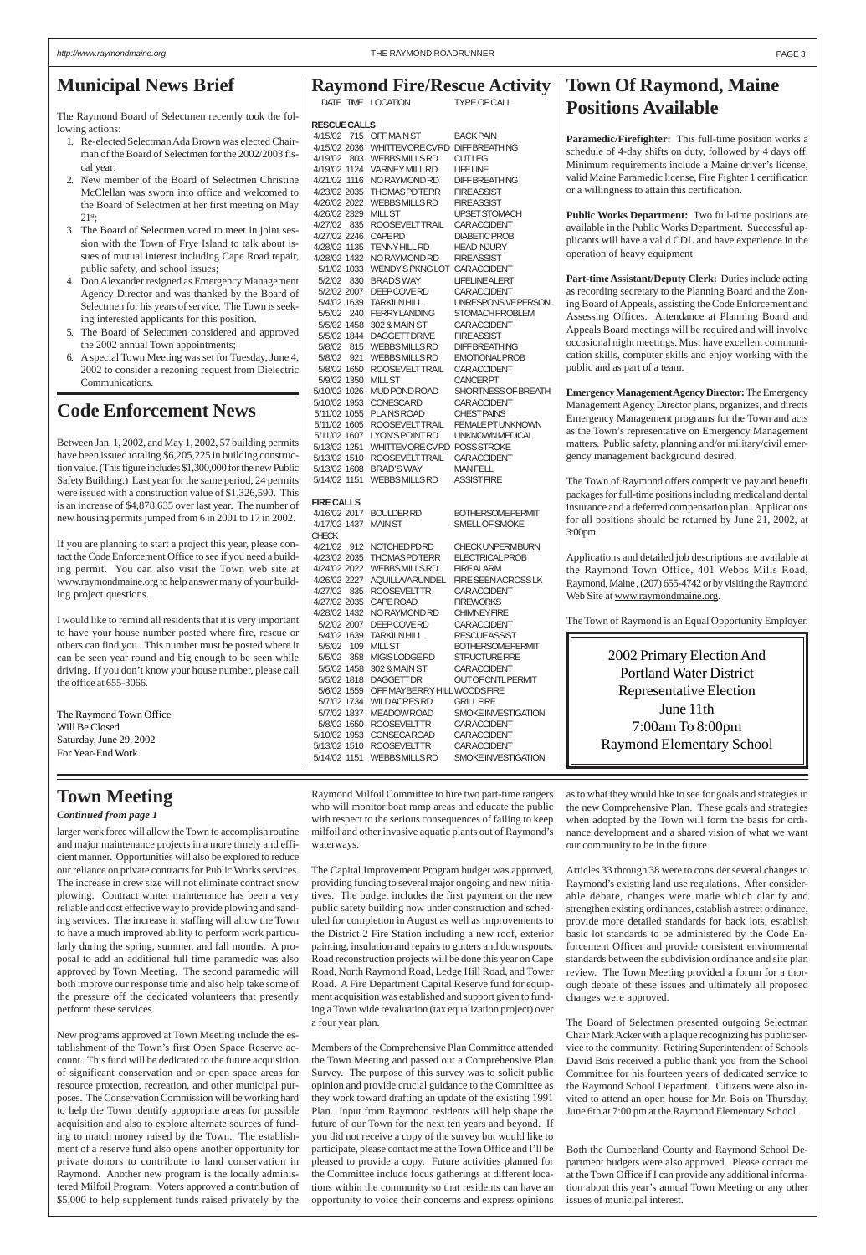larger work force will allow the Town to accomplish routine and major maintenance projects in a more timely and efficient manner. Opportunities will also be explored to reduce our reliance on private contracts for Public Works services. The increase in crew size will not eliminate contract snow plowing. Contract winter maintenance has been a very reliable and cost effective way to provide plowing and sanding services. The increase in staffing will allow the Town to have a much improved ability to perform work particularly during the spring, summer, and fall months. A proposal to add an additional full time paramedic was also approved by Town Meeting. The second paramedic will both improve our response time and also help take some of the pressure off the dedicated volunteers that presently perform these services.

New programs approved at Town Meeting include the establishment of the Town's first Open Space Reserve account. This fund will be dedicated to the future acquisition of significant conservation and or open space areas for resource protection, recreation, and other municipal purposes. The Conservation Commission will be working hard to help the Town identify appropriate areas for possible acquisition and also to explore alternate sources of funding to match money raised by the Town. The establishment of a reserve fund also opens another opportunity for private donors to contribute to land conservation in Raymond. Another new program is the locally administered Milfoil Program. Voters approved a contribution of \$5,000 to help supplement funds raised privately by the

Raymond Milfoil Committee to hire two part-time rangers who will monitor boat ramp areas and educate the public with respect to the serious consequences of failing to keep milfoil and other invasive aquatic plants out of Raymond's waterways.

The Capital Improvement Program budget was approved, providing funding to several major ongoing and new initiatives. The budget includes the first payment on the new public safety building now under construction and scheduled for completion in August as well as improvements to the District 2 Fire Station including a new roof, exterior painting, insulation and repairs to gutters and downspouts. Road reconstruction projects will be done this year on Cape Road, North Raymond Road, Ledge Hill Road, and Tower Road. A Fire Department Capital Reserve fund for equipment acquisition was established and support given to funding a Town wide revaluation (tax equalization project) over a four year plan.

Members of the Comprehensive Plan Committee attended the Town Meeting and passed out a Comprehensive Plan Survey. The purpose of this survey was to solicit public opinion and provide crucial guidance to the Committee as they work toward drafting an update of the existing 1991 Plan. Input from Raymond residents will help shape the future of our Town for the next ten years and beyond. If you did not receive a copy of the survey but would like to participate, please contact me at the Town Office and I'll be pleased to provide a copy. Future activities planned for the Committee include focus gatherings at different locations within the community so that residents can have an opportunity to voice their concerns and express opinions

as to what they would like to see for goals and strategies in the new Comprehensive Plan. These goals and strategies when adopted by the Town will form the basis for ordinance development and a shared vision of what we want our community to be in the future.

Articles 33 through 38 were to consider several changes to Raymond's existing land use regulations. After considerable debate, changes were made which clarify and strengthen existing ordinances, establish a street ordinance, provide more detailed standards for back lots, establish basic lot standards to be administered by the Code Enforcement Officer and provide consistent environmental standards between the subdivision ordinance and site plan review. The Town Meeting provided a forum for a thorough debate of these issues and ultimately all proposed changes were approved.

The Board of Selectmen presented outgoing Selectman Chair Mark Acker with a plaque recognizing his public service to the community. Retiring Superintendent of Schools David Bois received a public thank you from the School Committee for his fourteen years of dedicated service to the Raymond School Department. Citizens were also invited to attend an open house for Mr. Bois on Thursday, June 6th at 7:00 pm at the Raymond Elementary School.

Both the Cumberland County and Raymond School Department budgets were also approved. Please contact me at the Town Office if I can provide any additional information about this year's annual Town Meeting or any other issues of municipal interest.

# **Raymond Fire/Rescue Activity**

DATE TIME LOCATION TYPE OF CALL

**RESCUE CALLS**

4/15/02 715 OFF MAIN ST BACK PAIN 4/15/02 2036 WHITTEMORE CV RD DIFF BREATHING 4/19/02 803 WEBBSMILLS RD CUTLEG 4/19/02 1124 VARNEY MILL RD LIFE LINE 4/21/02 1116 NO RAYMOND RD DIFF BREATHING 4/23/02 2035 THOMAS PD TERR FIRE ASSIST 4/26/02 2022 WEBBS MILLS RD FIRE ASSIST 4/26/02 2329 MILL ST UPSET STOMACH 4/27/02 835 ROOSEVELT TRAIL CAR ACCIDENT 4/27/02 2246 CAPE RD DIABETIC PROB 4/28/02 1135 TENNY HILL RD HEAD INJURY 4/28/02 1432 NORAYMOND RD FIRE ASSIST 5/1/02 1033 WENDY'S PKNG LOT CAR ACCIDENT 5/2/02 830 BRADS WAY LIFELINE ALERT 5/2/02 2007 DEEP COVE RD CAR ACCIDENT 5/4/02 1639 TARKILN HILL UNRESPONSIVE PERSON 5/5/02 240 FERRY LANDING STOMACH PROBLEM 5/5/02 1458 302 & MAIN ST CAR ACCIDENT 5/5/02 1844 DAGGETT DRIVE FIRE ASSIST 5/8/02 815 WEBBS MILLS RD DIFF BREATHING 5/8/02 921 WEBBS MILLS RD EMOTIONAL PROB 5/8/02 1650 ROOSEVELT TRAIL CAR ACCIDENT 5/9/02 1350 MILL ST<br>5/10/02 1026 MUDPONDROAD SHORTNESS OF BREATH 5/10/02 1026 MUD POND ROAD 5/10/02 1953 CONESCA RD CAR ACCIDENT 5/11/02 1055 PLAINS ROAD CHESTPAINS<br>5/11/02 1605 ROOSEVELTTRAIL FEMALE PTUNKNOWN 5/11/02 1605 ROOSEVELTTRAIL 5/11/02 1607 LYON'S POINT RD UNKNOWN MEDICAL 5/13/02 1251 WHITTEMORE CV RD POSS STROKE 5/13/02 1510 ROOSEVELT TRAIL CAR ACCIDENT 5/13/02 1608 BRAD'S WAY MAN FELL 5/14/02 1151 WEBBS MILLS RD ASSIST FIRE **FIRE CALLS** 4/16/02 2017 BOULDER RD BOTHERSOME PERMIT 4/17/02 1437 MAIN ST SMELL OF SMOKE **CHECK** 4/21/02 912 NOTCHED PDRD CHECK UNPERM BURN 4/23/02 2035 THOMAS PD TERR ELECTRICAL PROB 4/24/02 2022 WEBBSMILLS RD FIRE ALARM<br>4/26/02 2227 AQUILLA/ARUNDEL FIRE SEENACROSS LK 4/26/02 2227 AQUILLA/ARUNDEL 4/27/02 835 ROOSEVELT TR CAR ACCIDENT 4/27/02 2035 CAPE ROAD FIREWORKS 4/28/02 1432 NO RAYMOND RD CHIMNEY FIRE 5/2/02 2007 DEEP COVE RD CAR ACCIDENT 5/4/02 1639 TARKILN HILL RESCUE ASSIST 5/5/02 109 MILL ST BOTHERSOME PERMIT 5/5/02 358 MIGIS LODGE RD STRUCTURE FIRE 5/5/02 1458 302 & MAIN ST CAR ACCIDENT 5/5/02 1818 DAGGETT DR OUT OF CNTL PERMIT 5/6/02 1559 OFF MAYBERRY HILLWOODS FIRE 5/7/02 1734 WILD ACRES RD GRILL FIRE 5/7/02 1837 MEADOW ROAD SMOKE INVESTIGATION 5/8/02 1650 ROOSEVELT TR CAR ACCIDENT 5/10/02 1953 CONSECA ROAD CAR ACCIDENT 5/13/02 1510 ROOSEVELTTR CARACCIDENT<br>5/14/02 1151 WEBBSMILLSRD SMOKEINVESTIGATION 5/14/02 1151 WEBBS MILLS RD

Applications and detailed job descriptions are available at the Raymond Town Office, 401 Webbs Mills Road, Raymond, Maine , (207) 655-4742 or by visiting the Raymond Web Site at www.raymondmaine.org.

# **Code Enforcement News**

Between Jan. 1, 2002, and May 1, 2002, 57 building permits have been issued totaling \$6,205,225 in building construction value. (This figure includes \$1,300,000 for the new Public Safety Building.) Last year for the same period, 24 permits were issued with a construction value of \$1,326,590. This is an increase of \$4,878,635 over last year. The number of new housing permits jumped from 6 in 2001 to 17 in 2002.

If you are planning to start a project this year, please contact the Code Enforcement Office to see if you need a building permit. You can also visit the Town web site at www.raymondmaine.org to help answer many of your building project questions.

I would like to remind all residents that it is very important to have your house number posted where fire, rescue or others can find you. This number must be posted where it can be seen year round and big enough to be seen while driving. If you don't know your house number, please call the office at 655-3066.

<span id="page-2-0"></span>The Raymond Board of Selectmen recently took the following actions:

- 1. Re-elected Selectman Ada Brown was elected Chairman of the Board of Selectmen for the 2002/2003 fiscal year;
- 2. New member of the Board of Selectmen Christine McClellan was sworn into office and welcomed to the Board of Selectmen at her first meeting on May  $21^{st}$ ;
- 3. The Board of Selectmen voted to meet in joint session with the Town of Frye Island to talk about issues of mutual interest including Cape Road repair, public safety, and school issues;
- 4. Don Alexander resigned as Emergency Management Agency Director and was thanked by the Board of Selectmen for his years of service. The Town is seeking interested applicants for this position.
- 5. The Board of Selectmen considered and approved the 2002 annual Town appointments;
- 6. A special Town Meeting was set for Tuesday, June 4, 2002 to consider a rezoning request from Dielectric Communications.

The Raymond Town Office Will Be Closed Saturday, June 29, 2002 For Year-End Work

## **Town Of Raymond, Maine Positions Available**

**Paramedic/Firefighter:** This full-time position works a schedule of 4-day shifts on duty, followed by 4 days off. Minimum requirements include a Maine driver's license, valid Maine Paramedic license, Fire Fighter 1 certification or a willingness to attain this certification.

**Public Works Department:** Two full-time positions are available in the Public Works Department. Successful applicants will have a valid CDL and have experience in the operation of heavy equipment.

**Part-time Assistant/Deputy Clerk:** Duties include acting as recording secretary to the Planning Board and the Zoning Board of Appeals, assisting the Code Enforcement and Assessing Offices. Attendance at Planning Board and Appeals Board meetings will be required and will involve occasional night meetings. Must have excellent communication skills, computer skills and enjoy working with the public and as part of a team.

**Emergency Management Agency Director:** The Emergency Management Agency Director plans, organizes, and directs Emergency Management programs for the Town and acts as the Town's representative on Emergency Management matters. Public safety, planning and/or military/civil emergency management background desired.

The Town of Raymond offers competitive pay and benefit packages for full-time positions including medical and dental insurance and a deferred compensation plan. Applications for all positions should be returned by June 21, 2002, at 3:00pm.

The Town of Raymond is an Equal Opportunity Employer.

2002 Primary Election And Portland Water District Representative Election June 11th 7:00am To 8:00pm Raymond Elementary School

#### *Continued from page 1*

### **Town Meeting**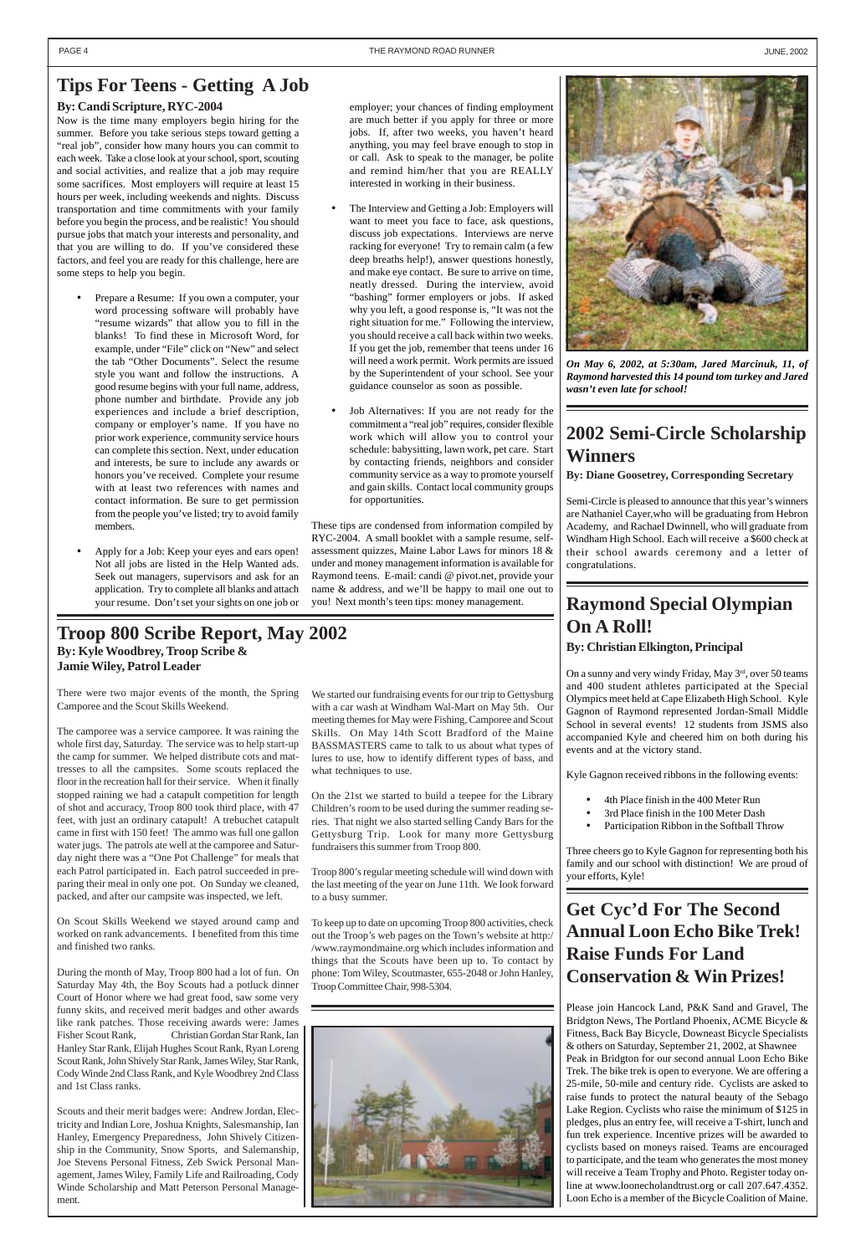### **Raymond Special Olympian On A Roll! By: Christian Elkington, Principal**

On a sunny and very windy Friday, May 3<sup>rd</sup>, over 50 teams and 400 student athletes participated at the Special Olympics meet held at Cape Elizabeth High School. Kyle Gagnon of Raymond represented Jordan-Small Middle School in several events! 12 students from JSMS also accompanied Kyle and cheered him on both during his events and at the victory stand.

Kyle Gagnon received ribbons in the following events:

- 4th Place finish in the 400 Meter Run
- 3rd Place finish in the 100 Meter Dash
- Participation Ribbon in the Softball Throw

Three cheers go to Kyle Gagnon for representing both his family and our school with distinction! We are proud of your efforts, Kyle!

**Get Cyc'd For The Second Annual Loon Echo Bike Trek!**

### **Raise Funds For Land Conservation & Win Prizes!**

Please join Hancock Land, P&K Sand and Gravel, The Bridgton News, The Portland Phoenix, ACME Bicycle & Fitness, Back Bay Bicycle, Downeast Bicycle Specialists & others on Saturday, September 21, 2002, at Shawnee Peak in Bridgton for our second annual Loon Echo Bike Trek. The bike trek is open to everyone. We are offering a 25-mile, 50-mile and century ride. Cyclists are asked to raise funds to protect the natural beauty of the Sebago Lake Region. Cyclists who raise the minimum of \$125 in pledges, plus an entry fee, will receive a T-shirt, lunch and fun trek experience. Incentive prizes will be awarded to cyclists based on moneys raised. Teams are encouraged to participate, and the team who generates the most money will receive a Team Trophy and Photo. Register today online at www.loonecholandtrust.org or call 207.647.4352. Loon Echo is a member of the Bicycle Coalition of Maine.

### <span id="page-3-0"></span>**Tips For Teens - Getting A Job**



*On May 6, 2002, at 5:30am, Jared Marcinuk, 11, of Raymond harvested this 14 pound tom turkey and Jared wasn't even late for school!*

### **By: Candi Scripture, RYC-2004**

Now is the time many employers begin hiring for the summer. Before you take serious steps toward getting a "real job", consider how many hours you can commit to each week. Take a close look at your school, sport, scouting and social activities, and realize that a job may require some sacrifices. Most employers will require at least 15 hours per week, including weekends and nights. Discuss transportation and time commitments with your family before you begin the process, and be realistic! You should pursue jobs that match your interests and personality, and that you are willing to do. If you've considered these factors, and feel you are ready for this challenge, here are some steps to help you begin.

- The Interview and Getting a Job: Employers will want to meet you face to face, ask questions, discuss job expectations. Interviews are nerve racking for everyone! Try to remain calm (a few deep breaths help!), answer questions honestly, and make eye contact. Be sure to arrive on time, neatly dressed. During the interview, avoid "bashing" former employers or jobs. If asked why you left, a good response is, "It was not the right situation for me." Following the interview, you should receive a call back within two weeks. If you get the job, remember that teens under 16 will need a work permit. Work permits are issued by the Superintendent of your school. See your guidance counselor as soon as possible.
- Job Alternatives: If you are not ready for the commitment a "real job" requires, consider flexible work which will allow you to control your schedule: babysitting, lawn work, pet care. Start by contacting friends, neighbors and consider community service as a way to promote yourself and gain skills. Contact local community groups for opportunities.
- Prepare a Resume: If you own a computer, your word processing software will probably have "resume wizards" that allow you to fill in the blanks! To find these in Microsoft Word, for example, under "File" click on "New" and select the tab "Other Documents". Select the resume style you want and follow the instructions. A good resume begins with your full name, address, phone number and birthdate. Provide any job experiences and include a brief description, company or employer's name. If you have no prior work experience, community service hours can complete this section. Next, under education and interests, be sure to include any awards or honors you've received. Complete your resume with at least two references with names and contact information. Be sure to get permission from the people you've listed; try to avoid family members.
- Apply for a Job: Keep your eyes and ears open! Not all jobs are listed in the Help Wanted ads. Seek out managers, supervisors and ask for an application. Try to complete all blanks and attach your resume. Don't set your sights on one job or

### **Troop 800 Scribe Report, May 2002 By: Kyle Woodbrey, Troop Scribe & Jamie Wiley, Patrol Leader**

#### employer; your chances of finding employment are much better if you apply for three or more jobs. If, after two weeks, you haven't heard anything, you may feel brave enough to stop in or call. Ask to speak to the manager, be polite and remind him/her that you are REALLY interested in working in their business.

These tips are condensed from information compiled by RYC-2004. A small booklet with a sample resume, selfassessment quizzes, Maine Labor Laws for minors 18 & under and money management information is available for Raymond teens. E-mail: candi @ pivot.net, provide your name & address, and we'll be happy to mail one out to you! Next month's teen tips: money management.

There were two major events of the month, the Spring Camporee and the Scout Skills Weekend.

The camporee was a service camporee. It was raining the whole first day, Saturday. The service was to help start-up the camp for summer. We helped distribute cots and mattresses to all the campsites. Some scouts replaced the floor in the recreation hall for their service. When it finally stopped raining we had a catapult competition for length of shot and accuracy, Troop 800 took third place, with 47 feet, with just an ordinary catapult! A trebuchet catapult came in first with 150 feet! The ammo was full one gallon water jugs. The patrols ate well at the camporee and Saturday night there was a "One Pot Challenge" for meals that each Patrol participated in. Each patrol succeeded in preparing their meal in only one pot. On Sunday we cleaned, packed, and after our campsite was inspected, we left.

On Scout Skills Weekend we stayed around camp and worked on rank advancements. I benefited from this time and finished two ranks.

During the month of May, Troop 800 had a lot of fun. On Saturday May 4th, the Boy Scouts had a potluck dinner Court of Honor where we had great food, saw some very funny skits, and received merit badges and other awards like rank patches. Those receiving awards were: James Fisher Scout Rank, Christian Gordan Star Rank, Ian Hanley Star Rank, Elijah Hughes Scout Rank, Ryan Loreng Scout Rank, John Shively Star Rank, James Wiley, Star Rank, Cody Winde 2nd Class Rank, and Kyle Woodbrey 2nd Class and 1st Class ranks.

Scouts and their merit badges were: Andrew Jordan, Electricity and Indian Lore, Joshua Knights, Salesmanship, Ian Hanley, Emergency Preparedness, John Shively Citizenship in the Community, Snow Sports, and Salemanship, Joe Stevens Personal Fitness, Zeb Swick Personal Management, James Wiley, Family Life and Railroading, Cody Winde Scholarship and Matt Peterson Personal Management.



We started our fundraising events for our trip to Gettysburg with a car wash at Windham Wal-Mart on May 5th. Our meeting themes for May were Fishing, Camporee and Scout Skills. On May 14th Scott Bradford of the Maine BASSMASTERS came to talk to us about what types of lures to use, how to identify different types of bass, and what techniques to use.

On the 21st we started to build a teepee for the Library Children's room to be used during the summer reading series. That night we also started selling Candy Bars for the Gettysburg Trip. Look for many more Gettysburg fundraisers this summer from Troop 800.

Troop 800's regular meeting schedule will wind down with the last meeting of the year on June 11th. We look forward to a busy summer.

To keep up to date on upcoming Troop 800 activities, check out the Troop's web pages on the Town's website at http:/ /www.raymondmaine.org which includes information and things that the Scouts have been up to. To contact by phone: Tom Wiley, Scoutmaster, 655-2048 or John Hanley, Troop Committee Chair, 998-5304.

# **2002 Semi-Circle Scholarship Winners**

**By: Diane Goosetrey, Corresponding Secretary**

Semi-Circle is pleased to announce that this year's winners are Nathaniel Cayer,who will be graduating from Hebron Academy, and Rachael Dwinnell, who will graduate from Windham High School. Each will receive a \$600 check at their school awards ceremony and a letter of congratulations.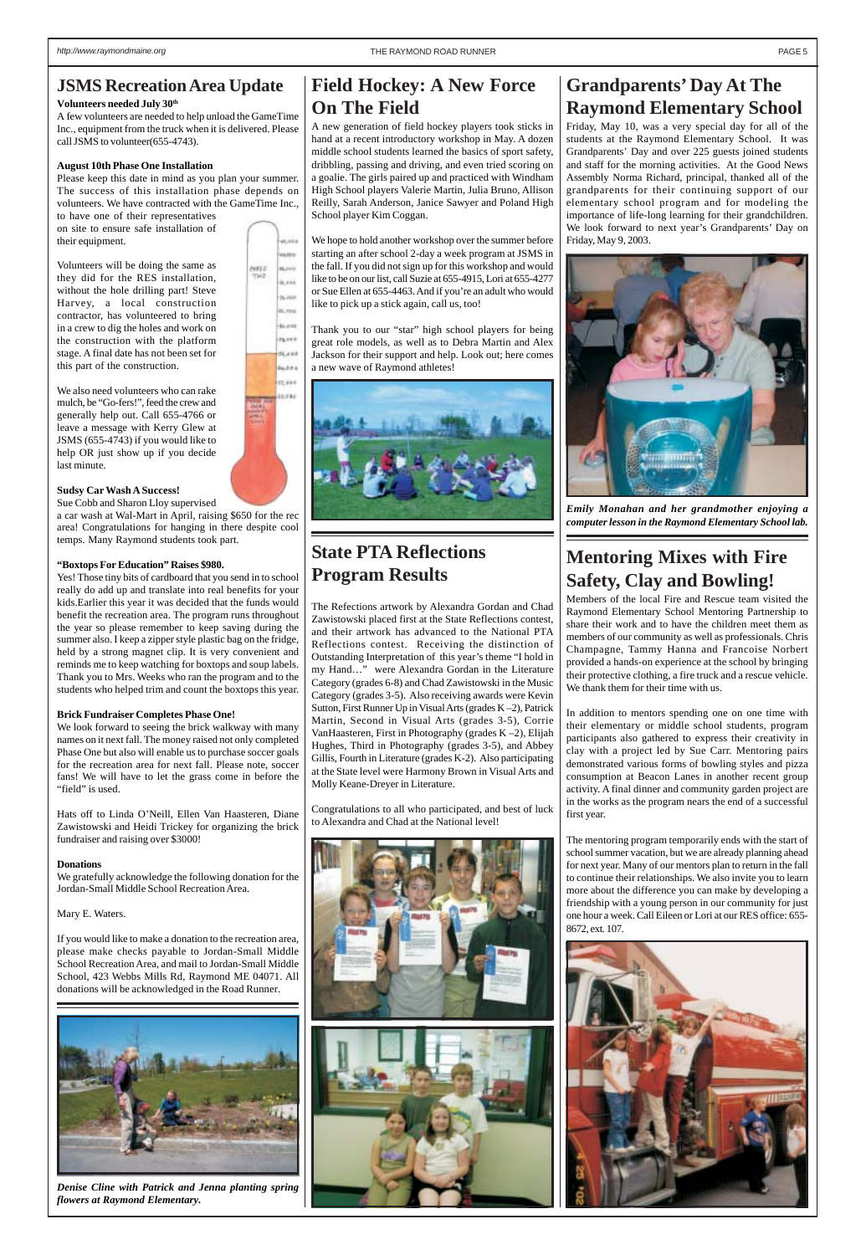# **Grandparents' Day At The Raymond Elementary School**

Friday, May 10, was a very special day for all of the students at the Raymond Elementary School. It was Grandparents' Day and over 225 guests joined students and staff for the morning activities. At the Good News Assembly Norma Richard, principal, thanked all of the grandparents for their continuing support of our elementary school program and for modeling the importance of life-long learning for their grandchildren. We look forward to next year's Grandparents' Day on Friday, May 9, 2003.



*Emily Monahan and her grandmother enjoying a computer lesson in the Raymond Elementary School lab.*

### <span id="page-4-0"></span>**JSMS Recreation Area Update**

#### **Volunteers needed July 30th**

A few volunteers are needed to help unload the GameTime Inc., equipment from the truck when it is delivered. Please call JSMS to volunteer(655-4743).

#### **August 10th Phase One Installation**

Please keep this date in mind as you plan your summer. The success of this installation phase depends on volunteers. We have contracted with the GameTime Inc.,

to have one of their representatives on site to ensure safe installation of their equipment.

We look forward to seeing the brick walkway with many names on it next fall. The money raised not only completed Phase One but also will enable us to purchase soccer goals for the recreation area for next fall. Please note, soccer fans! We will have to let the grass come in before the "field" is used.

Volunteers will be doing the same as they did for the RES installation, without the hole drilling part! Steve Harvey, a local construction contractor, has volunteered to bring in a crew to dig the holes and work on the construction with the platform stage. A final date has not been set for this part of the construction.

We also need volunteers who can rake mulch, be "Go-fers!", feed the crew and generally help out. Call 655-4766 or leave a message with Kerry Glew at JSMS (655-4743) if you would like to help OR just show up if you decide last minute.

#### **Sudsy Car Wash A Success!**

Sue Cobb and Sharon Lloy supervised a car wash at Wal-Mart in April, raising \$650 for the rec area! Congratulations for hanging in there despite cool temps. Many Raymond students took part.

#### **"Boxtops For Education" Raises \$980.**

Yes! Those tiny bits of cardboard that you send in to school really do add up and translate into real benefits for your kids.Earlier this year it was decided that the funds would benefit the recreation area. The program runs throughout the year so please remember to keep saving during the summer also. I keep a zipper style plastic bag on the fridge, held by a strong magnet clip. It is very convenient and reminds me to keep watching for boxtops and soup labels. Thank you to Mrs. Weeks who ran the program and to the students who helped trim and count the boxtops this year.

#### **Brick Fundraiser Completes Phase One!**

Hats off to Linda O'Neill, Ellen Van Haasteren, Diane Zawistowski and Heidi Trickey for organizing the brick fundraiser and raising over \$3000!

#### **Donations**

We gratefully acknowledge the following donation for the Jordan-Small Middle School Recreation Area.

Mary E. Waters.

If you would like to make a donation to the recreation area, please make checks payable to Jordan-Small Middle School Recreation Area, and mail to Jordan-Small Middle School, 423 Webbs Mills Rd, Raymond ME 04071. All donations will be acknowledged in the Road Runner.



*Denise Cline with Patrick and Jenna planting spring flowers at Raymond Elementary.*

# **State PTA Reflections Program Results**

The Refections artwork by Alexandra Gordan and Chad Zawistowski placed first at the State Reflections contest, and their artwork has advanced to the National PTA Reflections contest. Receiving the distinction of Outstanding Interpretation of this year's theme "I hold in my Hand…" were Alexandra Gordan in the Literature Category (grades 6-8) and Chad Zawistowski in the Music Category (grades 3-5). Also receiving awards were Kevin Sutton, First Runner Up in Visual Arts (grades K –2), Patrick Martin, Second in Visual Arts (grades 3-5), Corrie VanHaasteren, First in Photography (grades K –2), Elijah Hughes, Third in Photography (grades 3-5), and Abbey Gillis, Fourth in Literature (grades K-2). Also participating at the State level were Harmony Brown in Visual Arts and Molly Keane-Dreyer in Literature.

Congratulations to all who participated, and best of luck to Alexandra and Chad at the National level!



# **Mentoring Mixes with Fire Safety, Clay and Bowling!**

Members of the local Fire and Rescue team visited the Raymond Elementary School Mentoring Partnership to share their work and to have the children meet them as members of our community as well as professionals. Chris Champagne, Tammy Hanna and Francoise Norbert provided a hands-on experience at the school by bringing their protective clothing, a fire truck and a rescue vehicle. We thank them for their time with us.

In addition to mentors spending one on one time with their elementary or middle school students, program participants also gathered to express their creativity in clay with a project led by Sue Carr. Mentoring pairs demonstrated various forms of bowling styles and pizza consumption at Beacon Lanes in another recent group activity. A final dinner and community garden project are in the works as the program nears the end of a successful first year.

The mentoring program temporarily ends with the start of school summer vacation, but we are already planning ahead for next year. Many of our mentors plan to return in the fall to continue their relationships. We also invite you to learn more about the difference you can make by developing a friendship with a young person in our community for just one hour a week. Call Eileen or Lori at our RES office: 655- 8672, ext. 107.



a.xis 6890 wes*t* n.ont ir, eos  $36,460$ ts, eeo 94,010  $78, 104$  $24, a \# 0$ **Judes** 11,969 11.080

# **Field Hockey: A New Force On The Field**

A new generation of field hockey players took sticks in hand at a recent introductory workshop in May. A dozen middle school students learned the basics of sport safety, dribbling, passing and driving, and even tried scoring on a goalie. The girls paired up and practiced with Windham High School players Valerie Martin, Julia Bruno, Allison Reilly, Sarah Anderson, Janice Sawyer and Poland High School player Kim Coggan.

We hope to hold another workshop over the summer before starting an after school 2-day a week program at JSMS in the fall. If you did not sign up for this workshop and would like to be on our list, call Suzie at 655-4915, Lori at 655-4277 or Sue Ellen at 655-4463. And if you're an adult who would like to pick up a stick again, call us, too!

Thank you to our "star" high school players for being great role models, as well as to Debra Martin and Alex Jackson for their support and help. Look out; here comes a new wave of Raymond athletes!

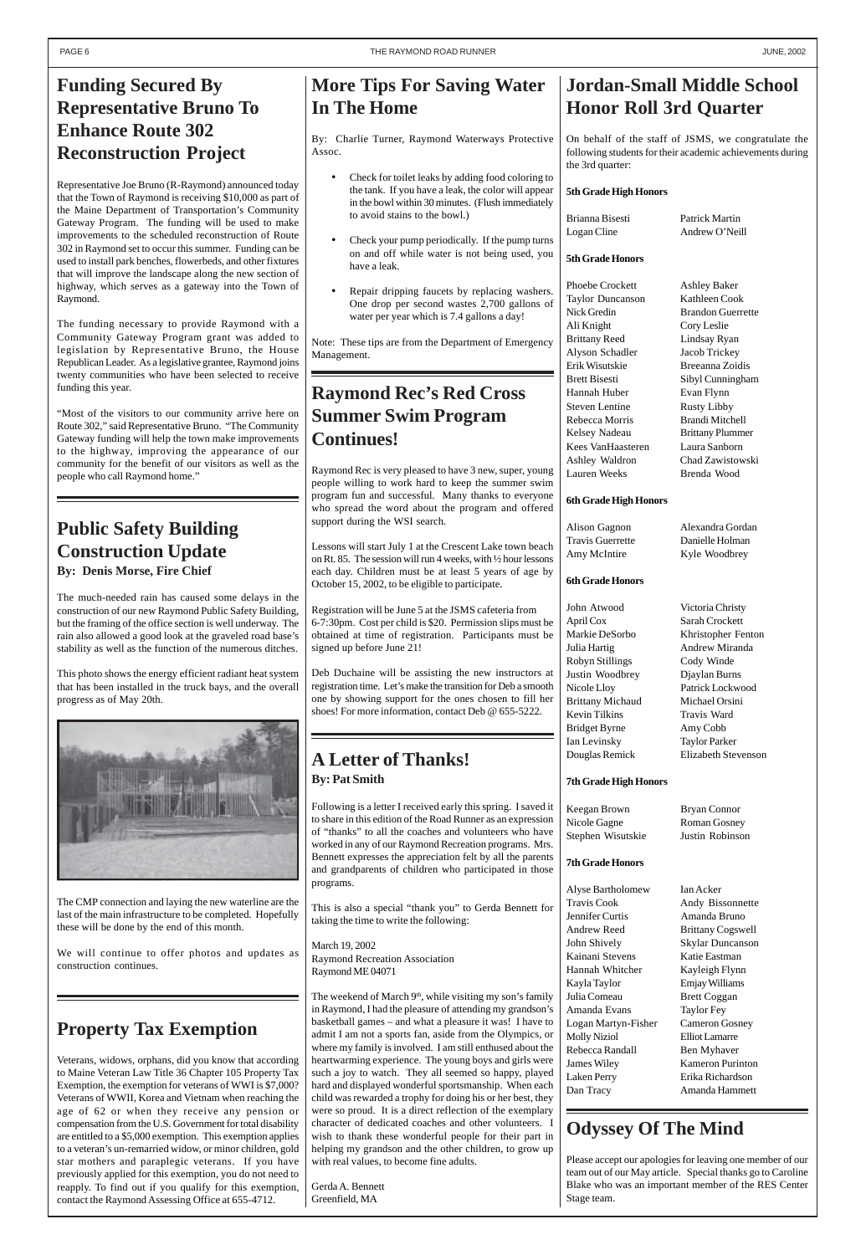### **Property Tax Exemption**

Veterans, widows, orphans, did you know that according to Maine Veteran Law Title 36 Chapter 105 Property Tax Exemption, the exemption for veterans of WWI is \$7,000? Veterans of WWII, Korea and Vietnam when reaching the age of 62 or when they receive any pension or compensation from the U.S. Government for total disability are entitled to a \$5,000 exemption. This exemption applies to a veteran's un-remarried widow, or minor children, gold star mothers and paraplegic veterans. If you have previously applied for this exemption, you do not need to reapply. To find out if you qualify for this exemption, contact the Raymond Assessing Office at 655-4712.

### **Public Safety Building Construction Update By: Denis Morse, Fire Chief**

The much-needed rain has caused some delays in the construction of our new Raymond Public Safety Building, but the framing of the office section is well underway. The rain also allowed a good look at the graveled road base's stability as well as the function of the numerous ditches.

This photo shows the energy efficient radiant heat system that has been installed in the truck bays, and the overall progress as of May 20th.



The CMP connection and laying the new waterline are the last of the main infrastructure to be completed. Hopefully these will be done by the end of this month.

We will continue to offer photos and updates as construction continues.

# <span id="page-5-0"></span>**Funding Secured By Representative Bruno To Enhance Route 302 Reconstruction Project**

Phoebe Crockett Ashley Baker Taylor Duncanson Kathleen Cook Nick Gredin Brandon Guerrette Ali Knight Cory Leslie Brittany Reed Lindsay Ryan Alyson Schadler Jacob Trickey Erik Wisutskie Breeanna Zoidis Brett Bisesti Sibyl Cunningham Hannah Huber Evan Flynn Steven Lentine Rusty Libby Rebecca Morris Brandi Mitchell Kelsey Nadeau Brittany Plummer Kees VanHaasteren Laura Sanborn Ashley Waldron Chad Zawistowski Lauren Weeks Brenda Wood

Alison Gagnon Alexandra Gordan Travis Guerrette Danielle Holman Amy McIntire Kyle Woodbrey

Representative Joe Bruno (R-Raymond) announced today that the Town of Raymond is receiving \$10,000 as part of the Maine Department of Transportation's Community Gateway Program. The funding will be used to make improvements to the scheduled reconstruction of Route 302 in Raymond set to occur this summer. Funding can be used to install park benches, flowerbeds, and other fixtures that will improve the landscape along the new section of highway, which serves as a gateway into the Town of Raymond.

The funding necessary to provide Raymond with a Community Gateway Program grant was added to legislation by Representative Bruno, the House Republican Leader. As a legislative grantee, Raymond joins twenty communities who have been selected to receive funding this year.

"Most of the visitors to our community arrive here on Route 302," said Representative Bruno. "The Community Gateway funding will help the town make improvements to the highway, improving the appearance of our community for the benefit of our visitors as well as the people who call Raymond home."

# **Jordan-Small Middle School Honor Roll 3rd Quarter**

On behalf of the staff of JSMS, we congratulate the following students for their academic achievements during the 3rd quarter:

### **5th Grade High Honors**

Brianna Bisesti Patrick Martin Logan Cline Andrew O'Neill

#### **5th Grade Honors**

The weekend of March  $9<sup>th</sup>$ , while visiting my son's family in Raymond, I had the pleasure of attending my grandson's basketball games – and what a pleasure it was! I have to admit I am not a sports fan, aside from the Olympics, or where my family is involved. I am still enthused about the heartwarming experience. The young boys and girls were such a joy to watch. They all seemed so happy, played hard and displayed wonderful sportsmanship. When each child was rewarded a trophy for doing his or her best, they were so proud. It is a direct reflection of the exemplary character of dedicated coaches and other volunteers. I wish to thank these wonderful people for their part in helping my grandson and the other children, to grow up with real values, to become fine adults.

#### **6th Grade High Honors**

### **6th Grade Honors**

Markie DeSorbo Khristopher Fenton Nicole Lloy Patrick Lockwood

John Atwood Victoria Christy April Cox Sarah Crockett Julia Hartig Andrew Miranda Robyn Stillings Cody Winde Justin Woodbrey Djaylan Burns Brittany Michaud Michael Orsini Kevin Tilkins Travis Ward Bridget Byrne Amy Cobb Ian Levinsky Taylor Parker Douglas Remick Elizabeth Stevenson

### **7th Grade High Honors**

| Keegan Brown      | Bryan Connor    |
|-------------------|-----------------|
| Nicole Gagne      | Roman Gosney    |
| Stephen Wisutskie | Justin Robinson |

### **7th Grade Honors**

Alyse Bartholomew Ian Acker Travis Cook Andy Bissonnette Jennifer Curtis Amanda Bruno Andrew Reed Brittany Cogswell John Shively Skylar Duncanson Kainani Stevens Katie Eastman Hannah Whitcher Kayleigh Flynn Kayla Taylor Emjay Williams Julia Comeau Brett Coggan Amanda Evans Taylor Fey Logan Martyn-Fisher Cameron Gosney Molly Niziol Elliot Lamarre Rebecca Randall Ben Myhaver James Wiley Kameron Purinton Laken Perry Erika Richardson Dan Tracy Amanda Hammett

# **Odyssey Of The Mind**

Please accept our apologies for leaving one member of our team out of our May article. Special thanks go to Caroline Blake who was an important member of the RES Center Stage team.

# **More Tips For Saving Water In The Home**

By: Charlie Turner, Raymond Waterways Protective Assoc.

- Check for toilet leaks by adding food coloring to the tank. If you have a leak, the color will appear in the bowl within 30 minutes. (Flush immediately to avoid stains to the bowl.)
- Check your pump periodically. If the pump turns on and off while water is not being used, you have a leak.
- Repair dripping faucets by replacing washers. One drop per second wastes 2,700 gallons of water per year which is 7.4 gallons a day!

Note: These tips are from the Department of Emergency Management.

### **A Letter of Thanks! By: Pat Smith**

Following is a letter I received early this spring. I saved it to share in this edition of the Road Runner as an expression of "thanks" to all the coaches and volunteers who have worked in any of our Raymond Recreation programs. Mrs. Bennett expresses the appreciation felt by all the parents and grandparents of children who participated in those programs.

This is also a special "thank you" to Gerda Bennett for taking the time to write the following:

March 19, 2002

Raymond Recreation Association Raymond ME 04071

Gerda A. Bennett Greenfield, MA

# **Raymond Rec's Red Cross Summer Swim Program Continues!**

Raymond Rec is very pleased to have 3 new, super, young people willing to work hard to keep the summer swim program fun and successful. Many thanks to everyone who spread the word about the program and offered support during the WSI search.

Lessons will start July 1 at the Crescent Lake town beach on Rt. 85. The session will run 4 weeks, with ½ hour lessons each day. Children must be at least 5 years of age by October 15, 2002, to be eligible to participate.

Registration will be June 5 at the JSMS cafeteria from 6-7:30pm. Cost per child is \$20. Permission slips must be obtained at time of registration. Participants must be signed up before June 21!

Deb Duchaine will be assisting the new instructors at registration time. Let's make the transition for Deb a smooth one by showing support for the ones chosen to fill her shoes! For more information, contact Deb @ 655-5222.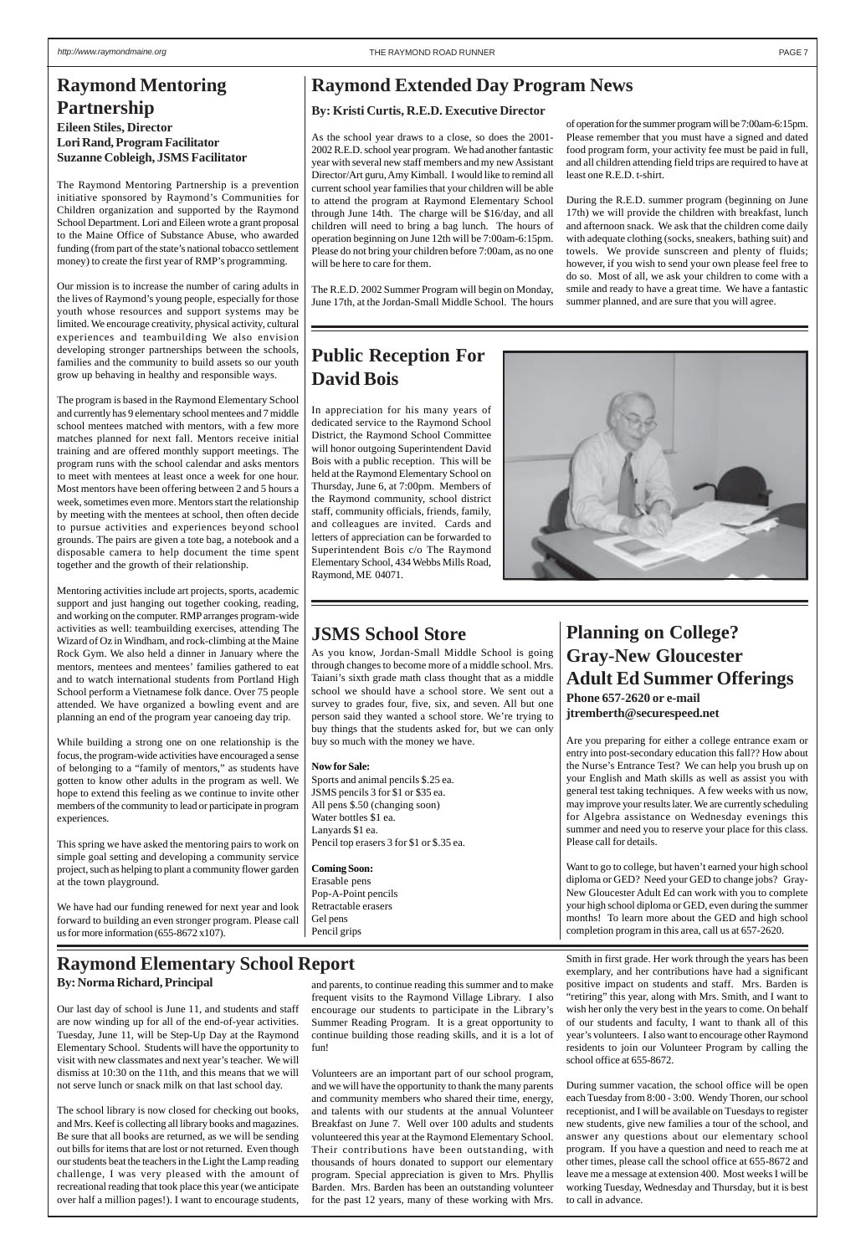# **Planning on College? Gray-New Gloucester Adult Ed Summer Offerings**

**Phone 657-2620 or e-mail jtremberth@securespeed.net**

Are you preparing for either a college entrance exam or entry into post-secondary education this fall?? How about the Nurse's Entrance Test? We can help you brush up on your English and Math skills as well as assist you with general test taking techniques. A few weeks with us now, may improve your results later. We are currently scheduling for Algebra assistance on Wednesday evenings this summer and need you to reserve your place for this class. Please call for details.

Want to go to college, but haven't earned your high school diploma or GED? Need your GED to change jobs? Gray-New Gloucester Adult Ed can work with you to complete your high school diploma or GED, even during the summer months! To learn more about the GED and high school completion program in this area, call us at 657-2620.

# <span id="page-6-0"></span>**Raymond Mentoring Partnership**

**Eileen Stiles, Director Lori Rand, Program Facilitator Suzanne Cobleigh, JSMS Facilitator**

The Raymond Mentoring Partnership is a prevention initiative sponsored by Raymond's Communities for Children organization and supported by the Raymond School Department. Lori and Eileen wrote a grant proposal to the Maine Office of Substance Abuse, who awarded funding (from part of the state's national tobacco settlement money) to create the first year of RMP's programming.

Our mission is to increase the number of caring adults in the lives of Raymond's young people, especially for those youth whose resources and support systems may be limited. We encourage creativity, physical activity, cultural experiences and teambuilding We also envision developing stronger partnerships between the schools, families and the community to build assets so our youth grow up behaving in healthy and responsible ways.

The program is based in the Raymond Elementary School and currently has 9 elementary school mentees and 7 middle school mentees matched with mentors, with a few more matches planned for next fall. Mentors receive initial training and are offered monthly support meetings. The program runs with the school calendar and asks mentors to meet with mentees at least once a week for one hour. Most mentors have been offering between 2 and 5 hours a week, sometimes even more. Mentors start the relationship by meeting with the mentees at school, then often decide to pursue activities and experiences beyond school grounds. The pairs are given a tote bag, a notebook and a disposable camera to help document the time spent together and the growth of their relationship.

Mentoring activities include art projects, sports, academic support and just hanging out together cooking, reading, and working on the computer. RMP arranges program-wide activities as well: teambuilding exercises, attending The Wizard of Oz in Windham, and rock-climbing at the Maine Rock Gym. We also held a dinner in January where the mentors, mentees and mentees' families gathered to eat and to watch international students from Portland High School perform a Vietnamese folk dance. Over 75 people attended. We have organized a bowling event and are planning an end of the program year canoeing day trip.

While building a strong one on one relationship is the focus, the program-wide activities have encouraged a sense of belonging to a "family of mentors," as students have gotten to know other adults in the program as well. We hope to extend this feeling as we continue to invite other members of the community to lead or participate in program experiences.

This spring we have asked the mentoring pairs to work on simple goal setting and developing a community service project, such as helping to plant a community flower garden at the town playground.

We have had our funding renewed for next year and look forward to building an even stronger program. Please call us for more information (655-8672 x107).

### **Raymond Elementary School Report By: Norma Richard, Principal**

Our last day of school is June 11, and students and staff are now winding up for all of the end-of-year activities. Tuesday, June 11, will be Step-Up Day at the Raymond Elementary School. Students will have the opportunity to visit with new classmates and next year's teacher. We will dismiss at 10:30 on the 11th, and this means that we will not serve lunch or snack milk on that last school day.

The school library is now closed for checking out books, and Mrs. Keef is collecting all library books and magazines. Be sure that all books are returned, as we will be sending out bills for items that are lost or not returned. Even though our students beat the teachers in the Light the Lamp reading challenge, I was very pleased with the amount of recreational reading that took place this year (we anticipate over half a million pages!). I want to encourage students,

and parents, to continue reading this summer and to make frequent visits to the Raymond Village Library. I also encourage our students to participate in the Library's Summer Reading Program. It is a great opportunity to continue building those reading skills, and it is a lot of fun!

Volunteers are an important part of our school program, and we will have the opportunity to thank the many parents and community members who shared their time, energy, and talents with our students at the annual Volunteer Breakfast on June 7. Well over 100 adults and students volunteered this year at the Raymond Elementary School. Their contributions have been outstanding, with thousands of hours donated to support our elementary program. Special appreciation is given to Mrs. Phyllis Barden. Mrs. Barden has been an outstanding volunteer for the past 12 years, many of these working with Mrs.

### **JSMS School Store**

As you know, Jordan-Small Middle School is going through changes to become more of a middle school. Mrs. Taiani's sixth grade math class thought that as a middle school we should have a school store. We sent out a survey to grades four, five, six, and seven. All but one person said they wanted a school store. We're trying to buy things that the students asked for, but we can only buy so much with the money we have.

#### **Now for Sale:**

Sports and animal pencils \$.25 ea. JSMS pencils 3 for \$1 or \$35 ea. All pens \$.50 (changing soon) Water bottles \$1 ea. Lanyards \$1 ea. Pencil top erasers 3 for \$1 or \$.35 ea.

#### **Coming Soon:**

Erasable pens Pop-A-Point pencils Retractable erasers Gel pens Pencil grips

> Smith in first grade. Her work through the years has been exemplary, and her contributions have had a significant positive impact on students and staff. Mrs. Barden is "retiring" this year, along with Mrs. Smith, and I want to wish her only the very best in the years to come. On behalf of our students and faculty, I want to thank all of this year's volunteers. I also want to encourage other Raymond residents to join our Volunteer Program by calling the school office at 655-8672.

> During summer vacation, the school office will be open each Tuesday from 8:00 - 3:00. Wendy Thoren, our school receptionist, and I will be available on Tuesdays to register new students, give new families a tour of the school, and answer any questions about our elementary school program. If you have a question and need to reach me at other times, please call the school office at 655-8672 and leave me a message at extension 400. Most weeks I will be working Tuesday, Wednesday and Thursday, but it is best to call in advance.

### **Raymond Extended Day Program News**

### **Public Reception For David Bois**

In appreciation for his many years of dedicated service to the Raymond School District, the Raymond School Committee will honor outgoing Superintendent David Bois with a public reception. This will be held at the Raymond Elementary School on Thursday, June 6, at 7:00pm. Members of the Raymond community, school district staff, community officials, friends, family, and colleagues are invited. Cards and letters of appreciation can be forwarded to Superintendent Bois c/o The Raymond Elementary School, 434 Webbs Mills Road, Raymond, ME 04071.



### **By: Kristi Curtis, R.E.D. Executive Director**

As the school year draws to a close, so does the 2001- 2002 R.E.D. school year program. We had another fantastic year with several new staff members and my new Assistant Director/Art guru, Amy Kimball. I would like to remind all current school year families that your children will be able to attend the program at Raymond Elementary School through June 14th. The charge will be \$16/day, and all children will need to bring a bag lunch. The hours of operation beginning on June 12th will be 7:00am-6:15pm. Please do not bring your children before 7:00am, as no one will be here to care for them.

The R.E.D. 2002 Summer Program will begin on Monday, June 17th, at the Jordan-Small Middle School. The hours of operation for the summer program will be 7:00am-6:15pm. Please remember that you must have a signed and dated food program form, your activity fee must be paid in full, and all children attending field trips are required to have at least one R.E.D. t-shirt.

During the R.E.D. summer program (beginning on June 17th) we will provide the children with breakfast, lunch and afternoon snack. We ask that the children come daily with adequate clothing (socks, sneakers, bathing suit) and towels. We provide sunscreen and plenty of fluids; however, if you wish to send your own please feel free to do so. Most of all, we ask your children to come with a smile and ready to have a great time. We have a fantastic summer planned, and are sure that you will agree.